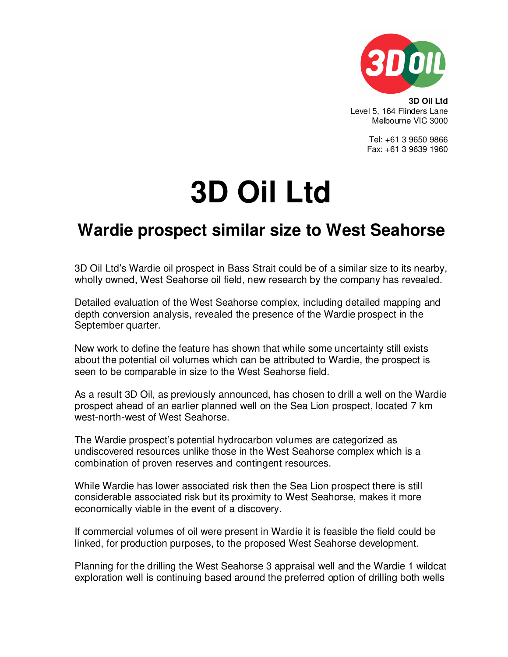

**3D Oil Ltd**  Level 5, 164 Flinders Lane Melbourne VIC 3000

> Tel: +61 3 9650 9866 Fax: +61 3 9639 1960

## **3D Oil Ltd**

## **Wardie prospect similar size to West Seahorse**

3D Oil Ltd's Wardie oil prospect in Bass Strait could be of a similar size to its nearby, wholly owned, West Seahorse oil field, new research by the company has revealed.

Detailed evaluation of the West Seahorse complex, including detailed mapping and depth conversion analysis, revealed the presence of the Wardie prospect in the September quarter.

New work to define the feature has shown that while some uncertainty still exists about the potential oil volumes which can be attributed to Wardie, the prospect is seen to be comparable in size to the West Seahorse field.

As a result 3D Oil, as previously announced, has chosen to drill a well on the Wardie prospect ahead of an earlier planned well on the Sea Lion prospect, located 7 km west-north-west of West Seahorse.

The Wardie prospect's potential hydrocarbon volumes are categorized as undiscovered resources unlike those in the West Seahorse complex which is a combination of proven reserves and contingent resources.

While Wardie has lower associated risk then the Sea Lion prospect there is still considerable associated risk but its proximity to West Seahorse, makes it more economically viable in the event of a discovery.

If commercial volumes of oil were present in Wardie it is feasible the field could be linked, for production purposes, to the proposed West Seahorse development.

Planning for the drilling the West Seahorse 3 appraisal well and the Wardie 1 wildcat exploration well is continuing based around the preferred option of drilling both wells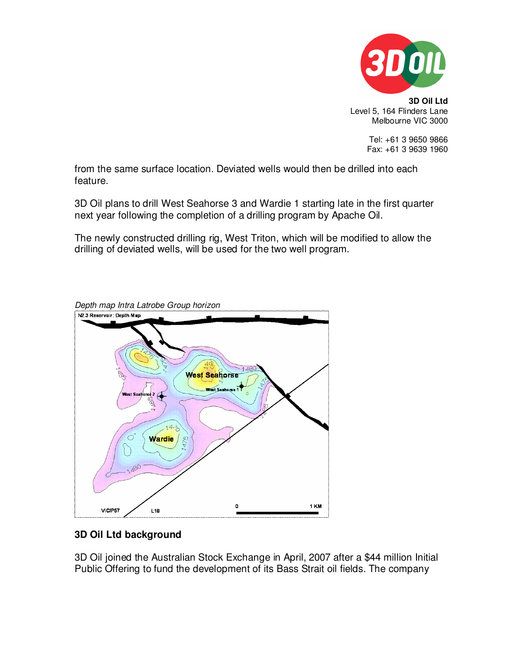

**3D Oil Ltd**  Level 5, 164 Flinders Lane Melbourne VIC 3000

> Tel: +61 3 9650 9866 Fax: +61 3 9639 1960

from the same surface location. Deviated wells would then be drilled into each feature.

3D Oil plans to drill West Seahorse 3 and Wardie 1 starting late in the first quarter next year following the completion of a drilling program by Apache Oil.

The newly constructed drilling rig, West Triton, which will be modified to allow the drilling of deviated wells, will be used for the two well program.



## **3D Oil Ltd background**

3D Oil joined the Australian Stock Exchange in April, 2007 after a \$44 million Initial Public Offering to fund the development of its Bass Strait oil fields. The company